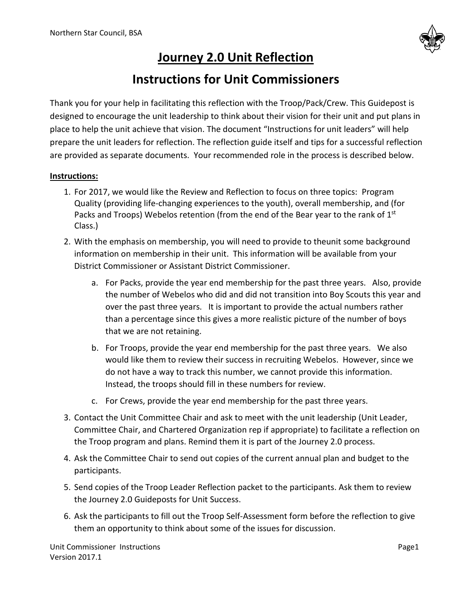

## **Journey 2.0 Unit Reflection**

## **Instructions for Unit Commissioners**

Thank you for your help in facilitating this reflection with the Troop/Pack/Crew. This Guidepost is designed to encourage the unit leadership to think about their vision for their unit and put plans in place to help the unit achieve that vision. The document "Instructions for unit leaders" will help prepare the unit leaders for reflection. The reflection guide itself and tips for a successful reflection are provided as separate documents. Your recommended role in the process is described below.

## **Instructions:**

- 1. For 2017, we would like the Review and Reflection to focus on three topics: Program Quality (providing life-changing experiences to the youth), overall membership, and (for Packs and Troops) Webelos retention (from the end of the Bear year to the rank of 1<sup>st</sup> Class.)
- 2. With the emphasis on membership, you will need to provide to theunit some background information on membership in their unit. This information will be available from your District Commissioner or Assistant District Commissioner.
	- a. For Packs, provide the year end membership for the past three years. Also, provide the number of Webelos who did and did not transition into Boy Scouts this year and over the past three years. It is important to provide the actual numbers rather than a percentage since this gives a more realistic picture of the number of boys that we are not retaining.
	- b. For Troops, provide the year end membership for the past three years. We also would like them to review their success in recruiting Webelos. However, since we do not have a way to track this number, we cannot provide this information. Instead, the troops should fill in these numbers for review.
	- c. For Crews, provide the year end membership for the past three years.
- 3. Contact the Unit Committee Chair and ask to meet with the unit leadership (Unit Leader, Committee Chair, and Chartered Organization rep if appropriate) to facilitate a reflection on the Troop program and plans. Remind them it is part of the Journey 2.0 process.
- 4. Ask the Committee Chair to send out copies of the current annual plan and budget to the participants.
- 5. Send copies of the Troop Leader Reflection packet to the participants. Ask them to review the Journey 2.0 Guideposts for Unit Success.
- 6. Ask the participants to fill out the Troop Self-Assessment form before the reflection to give them an opportunity to think about some of the issues for discussion.

Unit Commissioner Instructions **Page1** Version 2017.1